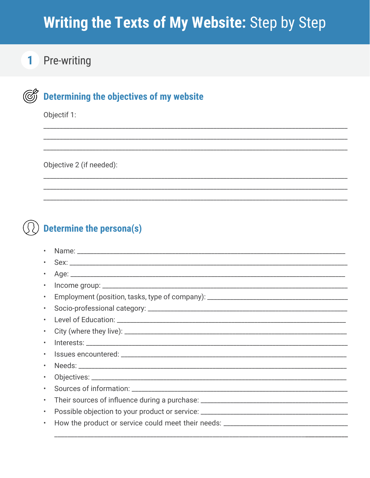# Writing the Texts of My Website: Step by Step

#### **Pre-writing**  $\blacksquare$

#### $\circled{\mathbb{C}}$ Determining the objectives of my website

Objectif 1:

Objective 2 (if needed):

### **Determine the persona(s)**

| $\bullet$ |                                                                                   |
|-----------|-----------------------------------------------------------------------------------|
| $\bullet$ |                                                                                   |
| $\bullet$ | Employment (position, tasks, type of company): __________________________________ |
| $\bullet$ |                                                                                   |
| $\bullet$ |                                                                                   |
| $\bullet$ |                                                                                   |
| $\bullet$ |                                                                                   |
| $\bullet$ |                                                                                   |
| $\bullet$ |                                                                                   |
|           |                                                                                   |
| $\bullet$ |                                                                                   |
| $\bullet$ |                                                                                   |
| $\bullet$ | Possible objection to your product or service: __________________________________ |
| $\bullet$ | How the product or service could meet their needs: ______________________________ |
|           |                                                                                   |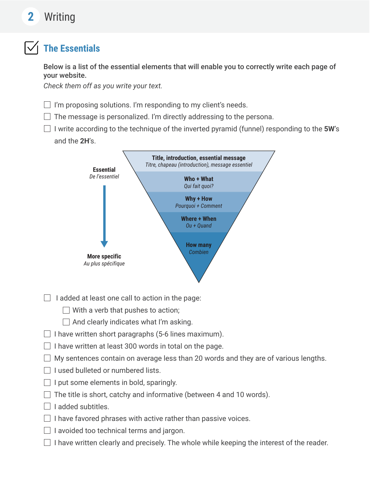## **2** Writing

### **The Essentials**

Below is a list of the essential elements that will enable you to correctly write each page of your website.

*Check them off as you write your text.* 

 $\Box$  I'm proposing solutions. I'm responding to my client's needs.

- $\Box$  The message is personalized. I'm directly addressing to the persona.
- $\Box$  I write according to the technique of the inverted pyramid (funnel) responding to the 5W's and the **2H**'s.



 $\Box$  I added at least one call to action in the page:

 $\Box$  With a verb that pushes to action;

- $\Box$  And clearly indicates what I'm asking.
- $\Box$  I have written short paragraphs (5-6 lines maximum).
- $\Box$  I have written at least 300 words in total on the page.
- $\Box$  My sentences contain on average less than 20 words and they are of various lengths.
- $\Box$  I used bulleted or numbered lists.
- $\Box$  I put some elements in bold, sparingly.
- $\Box$  The title is short, catchy and informative (between 4 and 10 words).
- $\Box$  I added subtitles.
- $\Box$  I have favored phrases with active rather than passive voices.
- $\Box$  I avoided too technical terms and jargon.
- $\Box$  I have written clearly and precisely. The whole while keeping the interest of the reader.